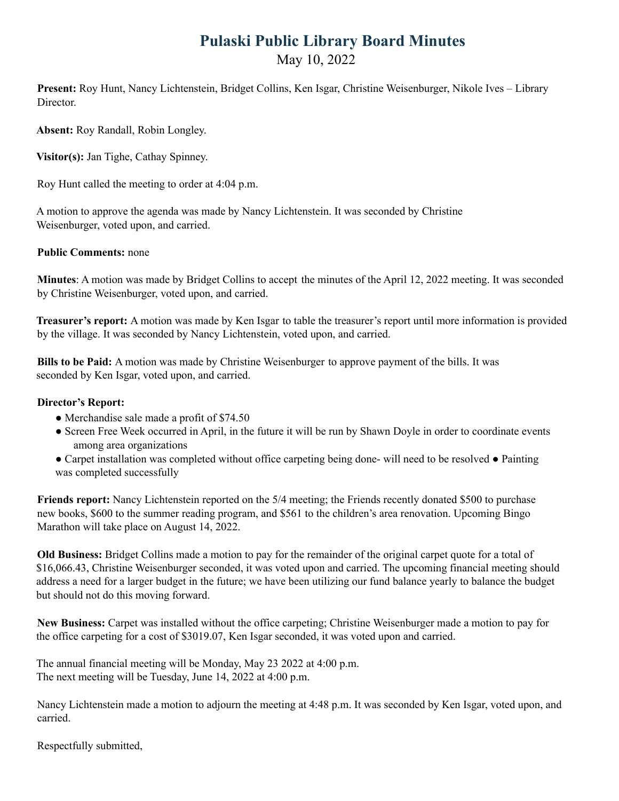## **Pulaski Public Library Board Minutes** May 10, 2022

**Present:** Roy Hunt, Nancy Lichtenstein, Bridget Collins, Ken Isgar, Christine Weisenburger, Nikole Ives – Library Director.

**Absent:** Roy Randall, Robin Longley.

**Visitor(s):** Jan Tighe, Cathay Spinney.

Roy Hunt called the meeting to order at 4:04 p.m.

A motion to approve the agenda was made by Nancy Lichtenstein. It was seconded by Christine Weisenburger, voted upon, and carried.

## **Public Comments:** none

**Minutes**: A motion was made by Bridget Collins to accept the minutes of the April 12, 2022 meeting. It was seconded by Christine Weisenburger, voted upon, and carried.

**Treasurer's report:** A motion was made by Ken Isgar to table the treasurer's report until more information is provided by the village. It was seconded by Nancy Lichtenstein, voted upon, and carried.

**Bills to be Paid:** A motion was made by Christine Weisenburger to approve payment of the bills. It was seconded by Ken Isgar, voted upon, and carried.

## **Director's Report:**

- Merchandise sale made a profit of \$74.50
- Screen Free Week occurred in April, in the future it will be run by Shawn Doyle in order to coordinate events among area organizations
- Carpet installation was completed without office carpeting being done- will need to be resolved Painting was completed successfully

**Friends report:** Nancy Lichtenstein reported on the 5/4 meeting; the Friends recently donated \$500 to purchase new books, \$600 to the summer reading program, and \$561 to the children's area renovation. Upcoming Bingo Marathon will take place on August 14, 2022.

**Old Business:** Bridget Collins made a motion to pay for the remainder of the original carpet quote for a total of \$16,066.43, Christine Weisenburger seconded, it was voted upon and carried. The upcoming financial meeting should address a need for a larger budget in the future; we have been utilizing our fund balance yearly to balance the budget but should not do this moving forward.

**New Business:** Carpet was installed without the office carpeting; Christine Weisenburger made a motion to pay for the office carpeting for a cost of \$3019.07, Ken Isgar seconded, it was voted upon and carried.

The annual financial meeting will be Monday, May 23 2022 at 4:00 p.m. The next meeting will be Tuesday, June 14, 2022 at 4:00 p.m.

Nancy Lichtenstein made a motion to adjourn the meeting at 4:48 p.m. It was seconded by Ken Isgar, voted upon, and carried.

Respectfully submitted,